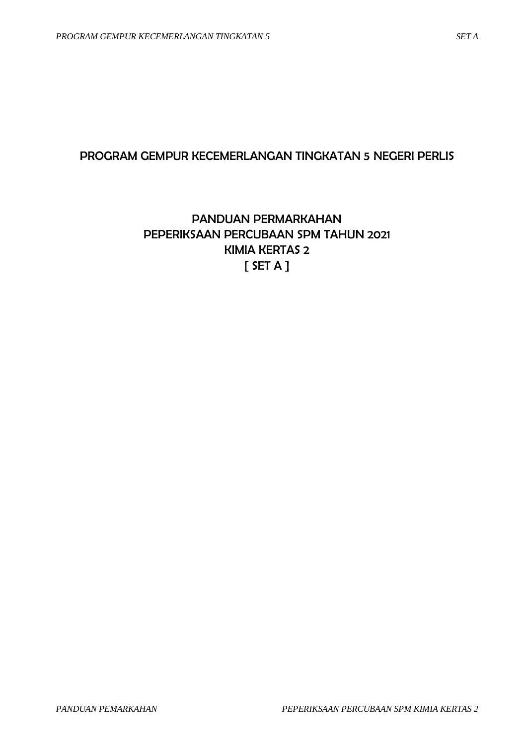## PROGRAM GEMPUR KECEMERLANGAN TINGKATAN 5 NEGERI PERLIS

## PANDUAN PERMARKAHAN PEPERIKSAAN PERCUBAAN SPM TAHUN 2021 KIMIA KERTAS 2  $[$  SET A  $]$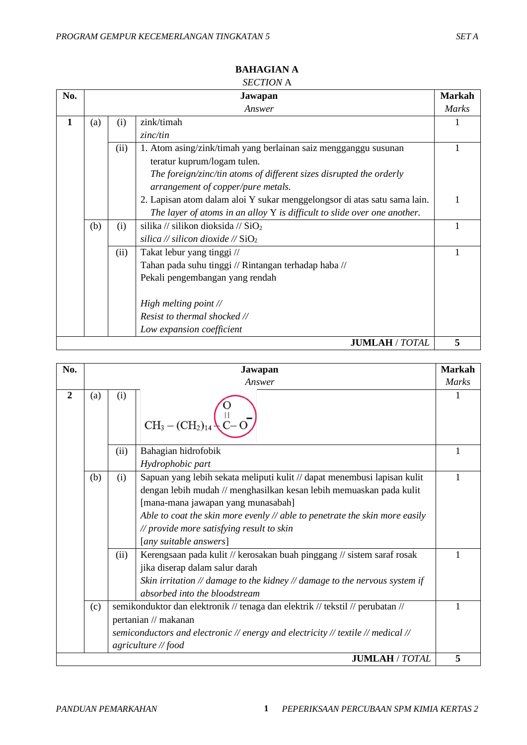| No. |     |      | Jawapan                                                                    | <b>Markah</b> |
|-----|-----|------|----------------------------------------------------------------------------|---------------|
|     |     |      | Answer                                                                     | <b>Marks</b>  |
| 1   | (a) | (i)  | zink/timah                                                                 |               |
|     |     |      | zinc/tin                                                                   |               |
|     |     | (ii) | 1. Atom asing/zink/timah yang berlainan saiz mengganggu susunan            |               |
|     |     |      | teratur kuprum/logam tulen.                                                |               |
|     |     |      | The foreign/zinc/tin atoms of different sizes disrupted the orderly        |               |
|     |     |      | arrangement of copper/pure metals.                                         |               |
|     |     |      | 2. Lapisan atom dalam aloi Y sukar menggelongsor di atas satu sama lain.   | $\mathbf{1}$  |
|     |     |      | The layer of atoms in an alloy $Y$ is difficult to slide over one another. |               |
|     | (b) | (i)  | silika // silikon dioksida // $SiO2$                                       |               |
|     |     |      | silica // silicon dioxide // $\text{SiO}_2$                                |               |
|     |     | (ii) | Takat lebur yang tinggi //                                                 |               |
|     |     |      | Tahan pada suhu tinggi // Rintangan terhadap haba //                       |               |
|     |     |      | Pekali pengembangan yang rendah                                            |               |
|     |     |      | High melting point $\mathcal N$                                            |               |
|     |     |      | Resist to thermal shocked //                                               |               |
|     |     |      | Low expansion coefficient                                                  |               |
|     |     |      | <b>JUMLAH / TOTAL</b>                                                      | 5             |

#### **BAHAGIAN A** *SECTION* A

| No.            |     |             | Jawapan                                                                                                                                                                                                                                                                                                                                                                                                                                                                                                                                                                          | <b>Markah</b> |
|----------------|-----|-------------|----------------------------------------------------------------------------------------------------------------------------------------------------------------------------------------------------------------------------------------------------------------------------------------------------------------------------------------------------------------------------------------------------------------------------------------------------------------------------------------------------------------------------------------------------------------------------------|---------------|
|                |     |             | Answer                                                                                                                                                                                                                                                                                                                                                                                                                                                                                                                                                                           | Marks         |
| $\overline{2}$ | (a) | (i)         | $CH_3 - (CH_2)_{14}$                                                                                                                                                                                                                                                                                                                                                                                                                                                                                                                                                             |               |
|                |     | (ii)        | Bahagian hidrofobik                                                                                                                                                                                                                                                                                                                                                                                                                                                                                                                                                              | 1             |
|                |     |             | Hydrophobic part                                                                                                                                                                                                                                                                                                                                                                                                                                                                                                                                                                 |               |
|                | (b) | (i)<br>(ii) | Sapuan yang lebih sekata meliputi kulit // dapat menembusi lapisan kulit<br>dengan lebih mudah // menghasilkan kesan lebih memuaskan pada kulit<br>[mana-mana jawapan yang munasabah]<br>Able to coat the skin more evenly $\mathcal N$ able to penetrate the skin more easily<br>// provide more satisfying result to skin<br>[any suitable answers]<br>Kerengsaan pada kulit // kerosakan buah pinggang // sistem saraf rosak<br>jika diserap dalam salur darah<br>Skin irritation // damage to the kidney // damage to the nervous system if<br>absorbed into the bloodstream | 1             |
|                | (c) |             | semikonduktor dan elektronik // tenaga dan elektrik // tekstil // perubatan //<br>pertanian // makanan<br>semiconductors and electronic // energy and electricity // textile // medical //<br>agriculture // food                                                                                                                                                                                                                                                                                                                                                                | 1             |
|                |     |             | <b>JUMLAH / TOTAL</b>                                                                                                                                                                                                                                                                                                                                                                                                                                                                                                                                                            | 5             |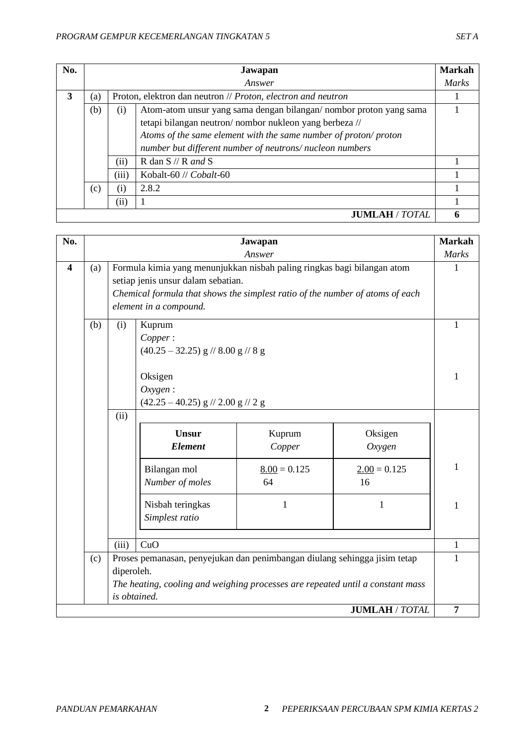| No. |     |       | Jawapan                                                           | <b>Markah</b> |
|-----|-----|-------|-------------------------------------------------------------------|---------------|
|     |     |       | Answer                                                            | <i>Marks</i>  |
| 3   | (a) |       | Proton, elektron dan neutron // Proton, electron and neutron      |               |
|     | (b) | (i)   | Atom-atom unsur yang sama dengan bilangan/nombor proton yang sama |               |
|     |     |       | tetapi bilangan neutron/nombor nukleon yang berbeza //            |               |
|     |     |       | Atoms of the same element with the same number of proton/proton   |               |
|     |     |       | number but different number of neutrons/nucleon numbers           |               |
|     |     | (ii)  | R dan $S$ // R and S                                              |               |
|     |     | (iii) | Kobalt-60 // Cobalt-60                                            |               |
|     | (c) | (i)   | 2.8.2                                                             |               |
|     |     | (ii)  |                                                                   |               |
|     |     |       | <b>JUMLAH / TOTAL</b>                                             | 6             |

| No.                     |     |                            |                                                                                                                                                                                                                          | Jawapan              |                       | <b>Markah</b>  |
|-------------------------|-----|----------------------------|--------------------------------------------------------------------------------------------------------------------------------------------------------------------------------------------------------------------------|----------------------|-----------------------|----------------|
|                         |     |                            |                                                                                                                                                                                                                          | Answer               |                       | <b>Marks</b>   |
| $\overline{\mathbf{4}}$ | (a) |                            | Formula kimia yang menunjukkan nisbah paling ringkas bagi bilangan atom<br>setiap jenis unsur dalam sebatian.<br>Chemical formula that shows the simplest ratio of the number of atoms of each<br>element in a compound. |                      |                       | 1              |
|                         | (b) | (i)                        | Kuprum<br>Copper:<br>$(40.25 - 32.25)$ g // 8.00 g // 8 g                                                                                                                                                                |                      |                       | 1              |
|                         |     |                            | Oksigen<br>Oxygen:<br>$(42.25 - 40.25)$ g // 2.00 g // 2 g                                                                                                                                                               |                      |                       | $\mathbf{1}$   |
|                         |     | (ii)                       | <b>Unsur</b><br><b>Element</b>                                                                                                                                                                                           | Kuprum<br>Copper     | Oksigen<br>Oxygen     |                |
|                         |     |                            | Bilangan mol<br>Number of moles                                                                                                                                                                                          | $8.00 = 0.125$<br>64 | $2.00 = 0.125$<br>16  | $\mathbf{1}$   |
|                         |     |                            | Nisbah teringkas<br>Simplest ratio                                                                                                                                                                                       | $\mathbf{1}$         | $\mathbf{1}$          | $\mathbf{1}$   |
|                         |     | (iii)                      | CuO                                                                                                                                                                                                                      |                      |                       | $\mathbf{1}$   |
|                         | (c) | diperoleh.<br>is obtained. | Proses pemanasan, penyejukan dan penimbangan diulang sehingga jisim tetap<br>The heating, cooling and weighing processes are repeated until a constant mass                                                              |                      |                       | $\mathbf{1}$   |
|                         |     |                            |                                                                                                                                                                                                                          |                      | <b>JUMLAH / TOTAL</b> | $\overline{7}$ |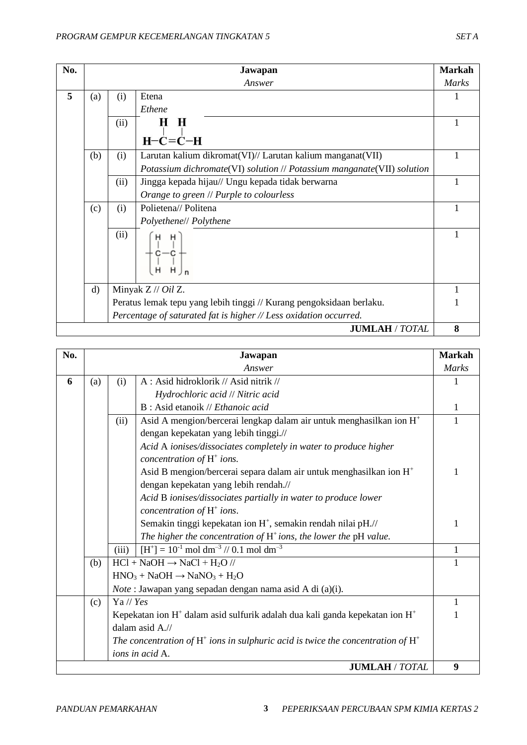| No. |              |      | Jawapan                                                                | <b>Markah</b> |
|-----|--------------|------|------------------------------------------------------------------------|---------------|
|     |              |      | Answer                                                                 | <b>Marks</b>  |
| 5   | (a)          | (i)  | Etena                                                                  |               |
|     |              |      | Ethene                                                                 |               |
|     |              | (ii) | Н<br>Н                                                                 | 1             |
|     |              |      | $H-C=C-H$                                                              |               |
|     | (b)          | (i)  | Larutan kalium dikromat(VI)// Larutan kalium manganat(VII)             |               |
|     |              |      | Potassium dichromate(VI) solution // Potassium manganate(VII) solution |               |
|     |              | (ii) | Jingga kepada hijau// Ungu kepada tidak berwarna                       |               |
|     |              |      | Orange to green // Purple to colourless                                |               |
|     | (c)          | (i)  | Polietena// Politena                                                   | 1             |
|     |              |      | Polyethene// Polythene                                                 |               |
|     |              | (ii) | H<br>н                                                                 |               |
|     | $\mathbf{d}$ |      | Minyak $Z$ // Oil Z.                                                   |               |
|     |              |      | Peratus lemak tepu yang lebih tinggi // Kurang pengoksidaan berlaku.   |               |
|     |              |      | Percentage of saturated fat is higher // Less oxidation occurred.      |               |
|     |              |      | <b>JUMLAH / TOTAL</b>                                                  | 8             |

| No. |     |               | Jawapan                                                                               | <b>Markah</b> |
|-----|-----|---------------|---------------------------------------------------------------------------------------|---------------|
|     |     |               | Answer                                                                                | <b>Marks</b>  |
| 6   | (a) | (i)           | A: Asid hidroklorik // Asid nitrik //                                                 | 1             |
|     |     |               | Hydrochloric acid // Nitric acid                                                      |               |
|     |     |               | $B: Asid etanoik \, // Ethanoic acid$                                                 | 1             |
|     |     | (ii)          | Asid A mengion/bercerai lengkap dalam air untuk menghasilkan ion H <sup>+</sup>       | 1             |
|     |     |               | dengan kepekatan yang lebih tinggi.//                                                 |               |
|     |     |               | Acid A ionises/dissociates completely in water to produce higher                      |               |
|     |     |               | concentration of $H^+$ ions.                                                          |               |
|     |     |               | Asid B mengion/bercerai separa dalam air untuk menghasilkan ion $H^+$                 | 1             |
|     |     |               | dengan kepekatan yang lebih rendah.//                                                 |               |
|     |     |               | Acid B ionises/dissociates partially in water to produce lower                        |               |
|     |     |               | concentration of $H^+$ ions.                                                          |               |
|     |     |               | Semakin tinggi kepekatan ion H <sup>+</sup> , semakin rendah nilai pH.//              | 1             |
|     |     |               | The higher the concentration of $H^+$ ions, the lower the pH value.                   |               |
|     |     | (iii)         | $[H^+] = 10^{-1}$ mol dm <sup>-3</sup> // 0.1 mol dm <sup>-3</sup>                    | $\mathbf{1}$  |
|     | (b) |               | $HCl + NaOH \rightarrow NaCl + H2O$ //                                                | $\mathbf{1}$  |
|     |     |               | $HNO3 + NaOH \rightarrow NaNO3 + H2O$                                                 |               |
|     |     |               | <i>Note</i> : Jawapan yang sepadan dengan nama asid A di (a)(i).                      |               |
|     | (c) | $Ya$ // $Yes$ |                                                                                       | 1             |
|     |     |               | Kepekatan ion $H^+$ dalam asid sulfurik adalah dua kali ganda kepekatan ion $H^+$     | 1             |
|     |     |               | dalam asid A.//                                                                       |               |
|     |     |               | The concentration of $H^+$ ions in sulphuric acid is twice the concentration of $H^+$ |               |
|     |     |               | ions in acid A.                                                                       |               |
|     |     |               | <b>JUMLAH / TOTAL</b>                                                                 | 9             |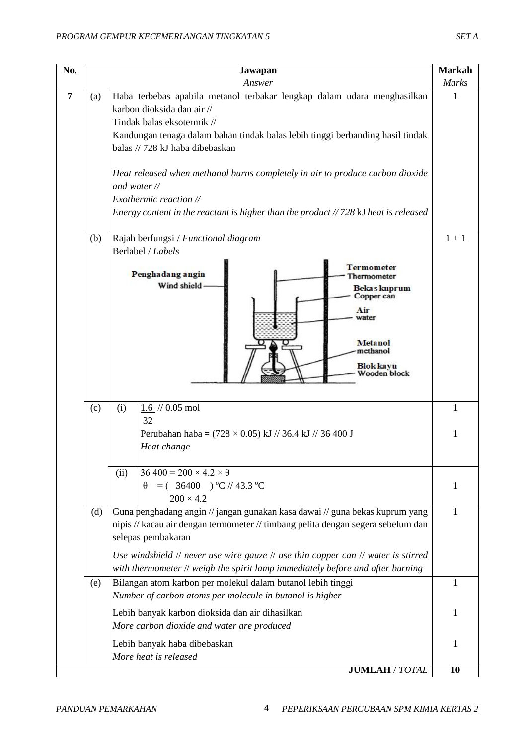| No. |     | Jawapan                                                                                                                                                                                                                                                                                                                                                                                                                                                                                  | <b>Markah</b> |  |
|-----|-----|------------------------------------------------------------------------------------------------------------------------------------------------------------------------------------------------------------------------------------------------------------------------------------------------------------------------------------------------------------------------------------------------------------------------------------------------------------------------------------------|---------------|--|
|     |     | Answer                                                                                                                                                                                                                                                                                                                                                                                                                                                                                   | <b>Marks</b>  |  |
|     | (a) | Haba terbebas apabila metanol terbakar lengkap dalam udara menghasilkan<br>karbon dioksida dan air //<br>Tindak balas eksotermik //<br>Kandungan tenaga dalam bahan tindak balas lebih tinggi berbanding hasil tindak<br>balas // 728 kJ haba dibebaskan<br>Heat released when methanol burns completely in air to produce carbon dioxide<br>and water $\mathcal{N}$<br>Exothermic reaction //<br>Energy content in the reactant is higher than the product $// 728$ KJ heat is released |               |  |
|     | (b) | Rajah berfungsi / Functional diagram                                                                                                                                                                                                                                                                                                                                                                                                                                                     | $1 + 1$       |  |
|     |     | Berlabel / Labels                                                                                                                                                                                                                                                                                                                                                                                                                                                                        |               |  |
|     |     | <b>Termometer</b><br>Penghadang angin<br>hermometer<br>Wind shield<br>Bekas kuprum<br>Copper can<br>Air<br>water<br>Metanol<br>methanol<br>Blok kayu<br>Wooden block                                                                                                                                                                                                                                                                                                                     |               |  |
|     | (c) | $1.6$ // 0.05 mol<br>(i)                                                                                                                                                                                                                                                                                                                                                                                                                                                                 | 1             |  |
|     |     | 32<br>Perubahan haba = $(728 \times 0.05)$ kJ // 36.4 kJ // 36 400 J<br>Heat change                                                                                                                                                                                                                                                                                                                                                                                                      | 1             |  |
|     |     | $36\,400 = 200 \times 4.2 \times \theta$<br>(ii)                                                                                                                                                                                                                                                                                                                                                                                                                                         |               |  |
|     |     | $=$ $($ 36400 $)$ °C // 43.3 °C<br>θ                                                                                                                                                                                                                                                                                                                                                                                                                                                     | 1             |  |
|     | (d) | $200 \times 4.2$<br>Guna penghadang angin // jangan gunakan kasa dawai // guna bekas kuprum yang<br>nipis // kacau air dengan termometer // timbang pelita dengan segera sebelum dan<br>selepas pembakaran<br>Use windshield $\#$ never use wire gauze $\#$ use thin copper can $\#$ water is stirred<br>with thermometer // weigh the spirit lamp immediately before and after burning                                                                                                  | 1             |  |
|     | (e) | Bilangan atom karbon per molekul dalam butanol lebih tinggi                                                                                                                                                                                                                                                                                                                                                                                                                              | 1             |  |
|     |     | Number of carbon atoms per molecule in butanol is higher                                                                                                                                                                                                                                                                                                                                                                                                                                 |               |  |
|     |     | Lebih banyak karbon dioksida dan air dihasilkan                                                                                                                                                                                                                                                                                                                                                                                                                                          | 1             |  |
|     |     | More carbon dioxide and water are produced                                                                                                                                                                                                                                                                                                                                                                                                                                               |               |  |
|     |     | Lebih banyak haba dibebaskan                                                                                                                                                                                                                                                                                                                                                                                                                                                             | 1             |  |
|     |     | More heat is released<br><b>JUMLAH / TOTAL</b>                                                                                                                                                                                                                                                                                                                                                                                                                                           | 10            |  |
|     |     |                                                                                                                                                                                                                                                                                                                                                                                                                                                                                          |               |  |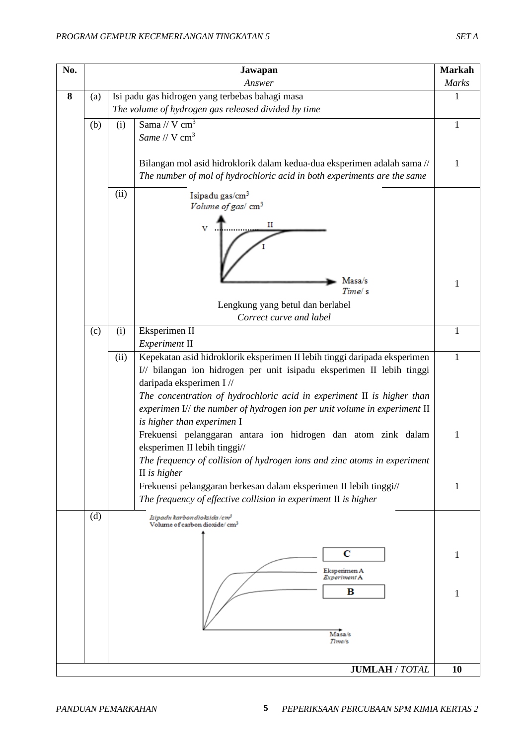| No. |     |      | Jawapan                                                                                                                                            | <b>Markah</b> |
|-----|-----|------|----------------------------------------------------------------------------------------------------------------------------------------------------|---------------|
|     |     |      | Answer                                                                                                                                             | <b>Marks</b>  |
| 8   | (a) |      | Isi padu gas hidrogen yang terbebas bahagi masa                                                                                                    | $\mathbf{1}$  |
|     |     |      | The volume of hydrogen gas released divided by time                                                                                                |               |
|     | (b) | (i)  | Sama // V $cm3$                                                                                                                                    | 1             |
|     |     |      | Same // V cm <sup>3</sup>                                                                                                                          |               |
|     |     |      |                                                                                                                                                    |               |
|     |     |      | Bilangan mol asid hidroklorik dalam kedua-dua eksperimen adalah sama //<br>The number of mol of hydrochloric acid in both experiments are the same | 1             |
|     |     |      |                                                                                                                                                    |               |
|     |     | (ii) | Isipadu gas/cm <sup>3</sup>                                                                                                                        |               |
|     |     |      | Volume of gas/ cm <sup>3</sup>                                                                                                                     |               |
|     |     |      | п<br>v                                                                                                                                             |               |
|     |     |      |                                                                                                                                                    |               |
|     |     |      |                                                                                                                                                    |               |
|     |     |      |                                                                                                                                                    |               |
|     |     |      | Masa/s<br>Time/s                                                                                                                                   | 1             |
|     |     |      |                                                                                                                                                    |               |
|     |     |      | Lengkung yang betul dan berlabel<br>Correct curve and label                                                                                        |               |
|     | (c) | (i)  | Eksperimen II                                                                                                                                      | $\mathbf{1}$  |
|     |     |      | Experiment II                                                                                                                                      |               |
|     |     | (ii) | Kepekatan asid hidroklorik eksperimen II lebih tinggi daripada eksperimen                                                                          | 1             |
|     |     |      | I// bilangan ion hidrogen per unit isipadu eksperimen II lebih tinggi                                                                              |               |
|     |     |      | daripada eksperimen I //                                                                                                                           |               |
|     |     |      | The concentration of hydrochloric acid in experiment II is higher than                                                                             |               |
|     |     |      | experimen $I$ // the number of hydrogen ion per unit volume in experiment $II$                                                                     |               |
|     |     |      | is higher than experimen I                                                                                                                         |               |
|     |     |      | Frekuensi pelanggaran antara ion hidrogen dan atom zink dalam<br>eksperimen II lebih tinggi//                                                      | $\mathbf{1}$  |
|     |     |      | The frequency of collision of hydrogen ions and zinc atoms in experiment                                                                           |               |
|     |     |      | $II$ is higher                                                                                                                                     |               |
|     |     |      | Frekuensi pelanggaran berkesan dalam eksperimen II lebih tinggi//                                                                                  | 1             |
|     |     |      | The frequency of effective collision in experiment $\Pi$ is higher                                                                                 |               |
|     | (d) |      | Isipadu karbon dioksida / cm²                                                                                                                      |               |
|     |     |      | Volume of carbon dioxide/cm <sup>3</sup>                                                                                                           |               |
|     |     |      |                                                                                                                                                    |               |
|     |     |      | С                                                                                                                                                  | 1             |
|     |     |      | Eksperimen A<br>Experiment A                                                                                                                       |               |
|     |     |      | в                                                                                                                                                  | 1             |
|     |     |      |                                                                                                                                                    |               |
|     |     |      |                                                                                                                                                    |               |
|     |     |      | Masa/s                                                                                                                                             |               |
|     |     |      | Time/s                                                                                                                                             |               |
|     |     |      |                                                                                                                                                    |               |
|     |     |      | <b>JUMLAH / TOTAL</b>                                                                                                                              | 10            |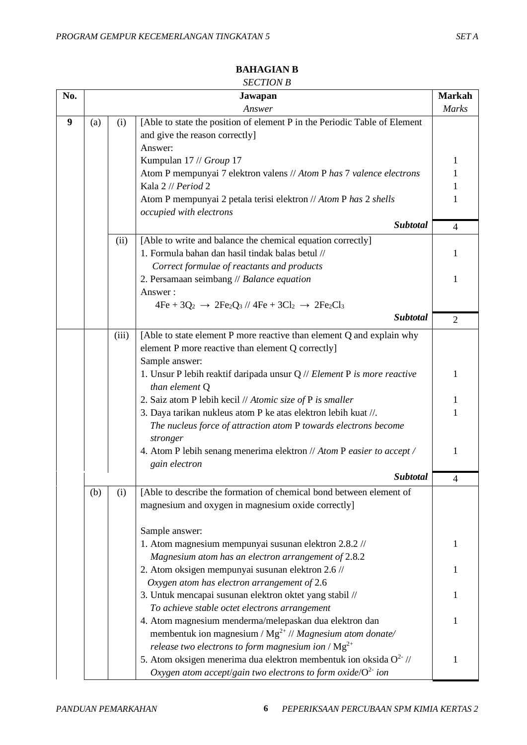| No. |     |       | ,,,,,,,,,,,,,,<br>Jawapan                                                                                                  | <b>Markah</b>  |
|-----|-----|-------|----------------------------------------------------------------------------------------------------------------------------|----------------|
|     |     |       | Answer                                                                                                                     | Marks          |
| 9   | (a) | (i)   | [Able to state the position of element P in the Periodic Table of Element<br>and give the reason correctly]                |                |
|     |     |       | Answer:<br>Kumpulan 17 // Group 17                                                                                         | 1              |
|     |     |       | Atom P mempunyai 7 elektron valens // Atom P has 7 valence electrons                                                       | $\mathbf{1}$   |
|     |     |       | Kala 2 // Period 2                                                                                                         | 1              |
|     |     |       | Atom P mempunyai 2 petala terisi elektron // Atom P has 2 shells<br>occupied with electrons                                | 1              |
|     |     |       | <b>Subtotal</b>                                                                                                            | $\overline{4}$ |
|     |     | (ii)  | [Able to write and balance the chemical equation correctly]                                                                |                |
|     |     |       | 1. Formula bahan dan hasil tindak balas betul //                                                                           | 1              |
|     |     |       | Correct formulae of reactants and products                                                                                 |                |
|     |     |       | 2. Persamaan seimbang // Balance equation                                                                                  | $\mathbf{1}$   |
|     |     |       | Answer:                                                                                                                    |                |
|     |     |       | $4Fe + 3Q_2 \rightarrow 2Fe_2Q_3$ // $4Fe + 3Cl_2 \rightarrow 2Fe_2Cl_3$                                                   |                |
|     |     |       | <b>Subtotal</b>                                                                                                            | $\overline{2}$ |
|     |     | (iii) | [Able to state element P more reactive than element Q and explain why<br>element P more reactive than element Q correctly] |                |
|     |     |       | Sample answer:                                                                                                             |                |
|     |     |       | 1. Unsur P lebih reaktif daripada unsur $Q$ // Element P is more reactive<br>than element Q                                | 1              |
|     |     |       | 2. Saiz atom P lebih kecil // Atomic size of P is smaller                                                                  | 1              |
|     |     |       | 3. Daya tarikan nukleus atom P ke atas elektron lebih kuat //.                                                             | $\mathbf{1}$   |
|     |     |       | The nucleus force of attraction atom P towards electrons become<br>stronger                                                |                |
|     |     |       | 4. Atom P lebih senang menerima elektron // Atom P easier to accept /<br>gain electron                                     | 1              |
|     |     |       | Subtotal                                                                                                                   | 4              |
|     | (b) | (i)   | [Able to describe the formation of chemical bond between element of                                                        |                |
|     |     |       | magnesium and oxygen in magnesium oxide correctly]                                                                         |                |
|     |     |       |                                                                                                                            |                |
|     |     |       | Sample answer:                                                                                                             |                |
|     |     |       | 1. Atom magnesium mempunyai susunan elektron 2.8.2 //                                                                      | 1              |
|     |     |       | Magnesium atom has an electron arrangement of 2.8.2                                                                        |                |
|     |     |       | 2. Atom oksigen mempunyai susunan elektron 2.6 //                                                                          | 1              |
|     |     |       | Oxygen atom has electron arrangement of 2.6                                                                                |                |
|     |     |       | 3. Untuk mencapai susunan elektron oktet yang stabil //                                                                    | 1              |
|     |     |       | To achieve stable octet electrons arrangement                                                                              |                |
|     |     |       | 4. Atom magnesium menderma/melepaskan dua elektron dan                                                                     | 1              |
|     |     |       | membentuk ion magnesium / $Mg^{2+}$ // Magnesium atom donate/                                                              |                |
|     |     |       | release two electrons to form magnesium ion / $Mg^{2+}$                                                                    |                |
|     |     |       | 5. Atom oksigen menerima dua elektron membentuk ion oksida $O^{2-}$ //                                                     | 1              |
|     |     |       | Oxygen atom accept/gain two electrons to form oxide/ $O2$ ion                                                              |                |

## **BAHAGIAN B**

### *SECTION B*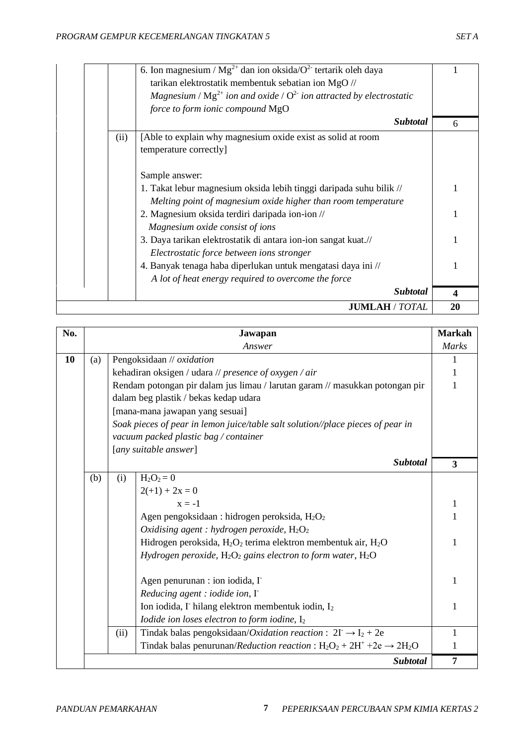|      | 6. Ion magnesium / $Mg^{2+}$ dan ion oksida/ $O^2$ tertarik oleh daya         |    |
|------|-------------------------------------------------------------------------------|----|
|      | tarikan elektrostatik membentuk sebatian ion MgO //                           |    |
|      | Magnesium / $Mg^{2+}$ ion and oxide / $O^{2-}$ ion attracted by electrostatic |    |
|      | force to form ionic compound MgO                                              |    |
|      | <b>Subtotal</b>                                                               | 6  |
| (ii) | [Able to explain why magnesium oxide exist as solid at room                   |    |
|      | temperature correctly]                                                        |    |
|      | Sample answer:                                                                |    |
|      | 1. Takat lebur magnesium oksida lebih tinggi daripada suhu bilik //           |    |
|      | Melting point of magnesium oxide higher than room temperature                 |    |
|      | 2. Magnesium oksida terdiri daripada ion-ion //                               |    |
|      | Magnesium oxide consist of ions                                               |    |
|      | 3. Daya tarikan elektrostatik di antara ion-ion sangat kuat.//                |    |
|      | Electrostatic force between ions stronger                                     |    |
|      | 4. Banyak tenaga haba diperlukan untuk mengatasi daya ini //                  |    |
|      | A lot of heat energy required to overcome the force                           |    |
|      | <b>Subtotal</b>                                                               | 4  |
|      | <b>JUMLAH / TOTAL</b>                                                         | 20 |

| No. |     |      | Jawapan                                                                                           | <b>Markah</b>           |
|-----|-----|------|---------------------------------------------------------------------------------------------------|-------------------------|
|     |     |      | Answer                                                                                            | Marks                   |
| 10  | (a) |      | Pengoksidaan // oxidation                                                                         | 1                       |
|     |     |      | kehadiran oksigen / udara // presence of oxygen / air                                             | $\mathbf{1}$            |
|     |     |      | Rendam potongan pir dalam jus limau / larutan garam // masukkan potongan pir                      | 1                       |
|     |     |      | dalam beg plastik / bekas kedap udara                                                             |                         |
|     |     |      | [mana-mana jawapan yang sesuai]                                                                   |                         |
|     |     |      | Soak pieces of pear in lemon juice/table salt solution//place pieces of pear in                   |                         |
|     |     |      | vacuum packed plastic bag / container                                                             |                         |
|     |     |      | [any suitable answer]                                                                             |                         |
|     |     |      | <b>Subtotal</b>                                                                                   | $\overline{\mathbf{3}}$ |
|     | (b) | (i)  | $H_2O_2 = 0$                                                                                      |                         |
|     |     |      | $2(+1) + 2x = 0$                                                                                  |                         |
|     |     |      | $x = -1$                                                                                          | $\mathbf{1}$            |
|     |     |      | Agen pengoksidaan : hidrogen peroksida, H <sub>2</sub> O <sub>2</sub>                             | $\mathbf{1}$            |
|     |     |      | Oxidising agent : hydrogen peroxide, $H_2O_2$                                                     |                         |
|     |     |      | Hidrogen peroksida, H <sub>2</sub> O <sub>2</sub> terima elektron membentuk air, H <sub>2</sub> O | 1                       |
|     |     |      | Hydrogen peroxide, $H_2O_2$ gains electron to form water, $H_2O$                                  |                         |
|     |     |      |                                                                                                   |                         |
|     |     |      | Agen penurunan : ion iodida, I                                                                    | $\mathbf{1}$            |
|     |     |      | Reducing agent : iodide ion, $\Gamma$                                                             |                         |
|     |     |      | Ion iodida, I hilang elektron membentuk iodin, I2                                                 | 1                       |
|     |     |      | Iodide ion loses electron to form iodine, $I_2$                                                   |                         |
|     |     | (ii) | Tindak balas pengoksidaan/Oxidation reaction : $2\Gamma \rightarrow I_2 + 2e$                     | 1                       |
|     |     |      | Tindak balas penurunan/Reduction reaction : $H_2O_2 + 2H^+ + 2e \rightarrow 2H_2O$                | 1                       |
|     |     |      | <b>Subtotal</b>                                                                                   | 7                       |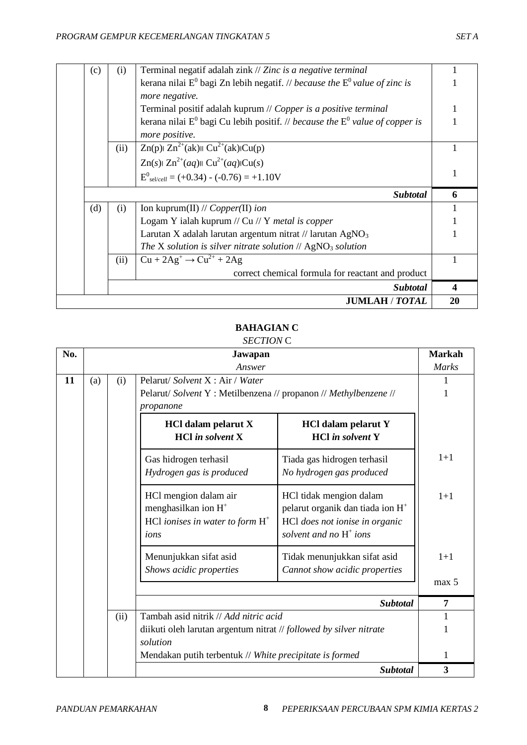| (c) | (i)  | Terminal negatif adalah zink // Zinc is a negative terminal                       |   |
|-----|------|-----------------------------------------------------------------------------------|---|
|     |      | kerana nilai $E^0$ bagi Zn lebih negatif. // because the $E^0$ value of zinc is   |   |
|     |      | more negative.                                                                    |   |
|     |      | Terminal positif adalah kuprum // Copper is a positive terminal                   |   |
|     |      | kerana nilai $E^0$ bagi Cu lebih positif. // because the $E^0$ value of copper is |   |
|     |      | more positive.                                                                    |   |
|     | (ii) | $Zn(p)$ $Zn^{2+}(ak)$ $CU^{2+}(ak)$ $Cu(p)$                                       |   |
|     |      | $Zn(s)$ $Zn^{2+}(aq)$ $Cu^{2+}(aq)$ $Cu(s)$                                       |   |
|     |      | $E^0_{self-cell} = (+0.34) - (-0.76) = +1.10V$                                    |   |
|     |      |                                                                                   |   |
|     |      | Subtotal                                                                          | 6 |
| (d) | (i)  | Ion kuprum(II) // $Copper(II)$ ion                                                |   |
|     |      | Logam Y ialah kuprum // Cu // Y <i>metal is copper</i>                            |   |
|     |      | Larutan X adalah larutan argentum nitrat // larutan $AgNO3$                       |   |
|     |      | The X solution is silver nitrate solution $//$ AgNO <sub>3</sub> solution         |   |
|     | (ii) | $Cu + 2Ag^+ \rightarrow Cu^{2+} + 2Ag$                                            |   |
|     |      | correct chemical formula for reactant and product                                 |   |
|     |      | Subtotal                                                                          | 4 |

# **BAHAGIAN C**

| No. |     |                                       | Jawapan                                                                                                |                                                                                                                                        | <b>Markah</b>  |
|-----|-----|---------------------------------------|--------------------------------------------------------------------------------------------------------|----------------------------------------------------------------------------------------------------------------------------------------|----------------|
|     |     |                                       | Answer                                                                                                 |                                                                                                                                        | <b>Marks</b>   |
| 11  | (a) | Pelarut/Solvent X: Air / Water<br>(i) |                                                                                                        |                                                                                                                                        |                |
|     |     |                                       | Pelarut/Solvent Y: Metilbenzena // propanon // Methylbenzene //                                        |                                                                                                                                        | 1              |
|     |     |                                       | propanone                                                                                              |                                                                                                                                        |                |
|     |     |                                       | <b>HCl dalam pelarut X</b><br>$HCl$ in solvent $X$                                                     | <b>HCl dalam pelarut Y</b><br><b>HCl</b> in solvent Y                                                                                  |                |
|     |     |                                       | Gas hidrogen terhasil<br>Hydrogen gas is produced                                                      | Tiada gas hidrogen terhasil<br>No hydrogen gas produced                                                                                | $1+1$          |
|     |     |                                       | HCl mengion dalam air<br>menghasilkan ion H <sup>+</sup><br>HCl ionises in water to form $H^+$<br>ions | HCl tidak mengion dalam<br>pelarut organik dan tiada ion H <sup>+</sup><br>HCl does not ionise in organic<br>solvent and no $H^+$ ions | $1+1$          |
|     |     |                                       | Menunjukkan sifat asid<br>Shows acidic properties                                                      | Tidak menunjukkan sifat asid<br>Cannot show acidic properties                                                                          | $1+1$          |
|     |     |                                       |                                                                                                        |                                                                                                                                        | max 5          |
|     |     |                                       |                                                                                                        | <b>Subtotal</b>                                                                                                                        | $\overline{7}$ |
|     |     | (ii)                                  | Tambah asid nitrik // Add nitric acid                                                                  |                                                                                                                                        | 1              |
|     |     |                                       | diikuti oleh larutan argentum nitrat // followed by silver nitrate                                     |                                                                                                                                        | 1              |
|     |     |                                       | solution                                                                                               |                                                                                                                                        |                |
|     |     |                                       | Mendakan putih terbentuk // White precipitate is formed                                                |                                                                                                                                        | 1              |
|     |     |                                       |                                                                                                        | <b>Subtotal</b>                                                                                                                        | 3              |